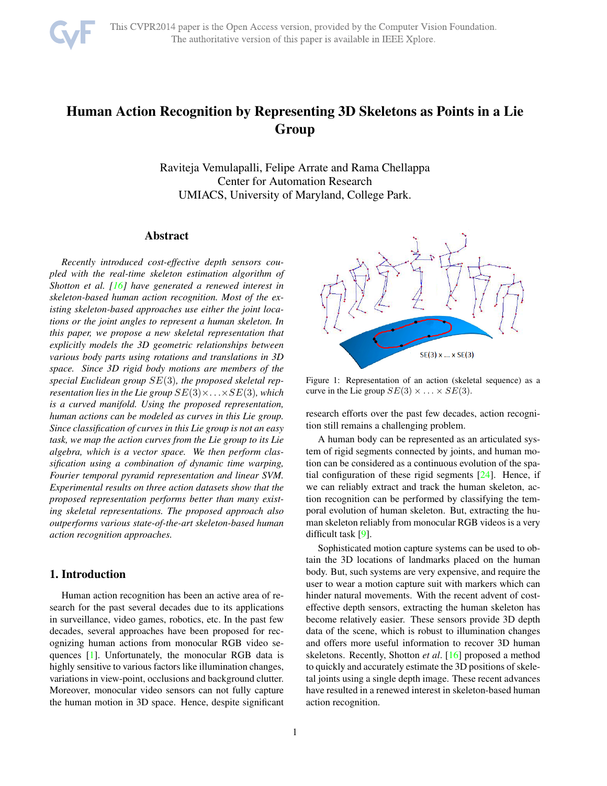

# <span id="page-0-1"></span>Human Action Recognition by Representing 3D Skeletons as Points in a Lie Group

Raviteja Vemulapalli, Felipe Arrate and Rama Chellappa Center for Automation Research UMIACS, University of Maryland, College Park.

## Abstract

*Recently introduced cost-effective depth sensors coupled with the real-time skeleton estimation algorithm of Shotton et al. [\[16\]](#page-7-0) have generated a renewed interest in skeleton-based human action recognition. Most of the existing skeleton-based approaches use either the joint locations or the joint angles to represent a human skeleton. In this paper, we propose a new skeletal representation that explicitly models the 3D geometric relationships between various body parts using rotations and translations in 3D space. Since 3D rigid body motions are members of the special Euclidean group* SE(3)*, the proposed skeletal representation lies in the Lie group*  $SE(3) \times \ldots \times SE(3)$ *, which is a curved manifold. Using the proposed representation, human actions can be modeled as curves in this Lie group. Since classification of curves in this Lie group is not an easy task, we map the action curves from the Lie group to its Lie algebra, which is a vector space. We then perform classification using a combination of dynamic time warping, Fourier temporal pyramid representation and linear SVM. Experimental results on three action datasets show that the proposed representation performs better than many existing skeletal representations. The proposed approach also outperforms various state-of-the-art skeleton-based human action recognition approaches.*

# 1. Introduction

Human action recognition has been an active area of research for the past several decades due to its applications in surveillance, video games, robotics, etc. In the past few decades, several approaches have been proposed for recognizing human actions from monocular RGB video sequences [\[1\]](#page-7-1). Unfortunately, the monocular RGB data is highly sensitive to various factors like illumination changes, variations in view-point, occlusions and background clutter. Moreover, monocular video sensors can not fully capture the human motion in 3D space. Hence, despite significant

<span id="page-0-0"></span>

Figure 1: Representation of an action (skeletal sequence) as a curve in the Lie group  $SE(3) \times ... \times SE(3)$ .

research efforts over the past few decades, action recognition still remains a challenging problem.

A human body can be represented as an articulated system of rigid segments connected by joints, and human motion can be considered as a continuous evolution of the spatial configuration of these rigid segments [\[24\]](#page-7-2). Hence, if we can reliably extract and track the human skeleton, action recognition can be performed by classifying the temporal evolution of human skeleton. But, extracting the human skeleton reliably from monocular RGB videos is a very difficult task [\[9\]](#page-7-3).

Sophisticated motion capture systems can be used to obtain the 3D locations of landmarks placed on the human body. But, such systems are very expensive, and require the user to wear a motion capture suit with markers which can hinder natural movements. With the recent advent of costeffective depth sensors, extracting the human skeleton has become relatively easier. These sensors provide 3D depth data of the scene, which is robust to illumination changes and offers more useful information to recover 3D human skeletons. Recently, Shotton *et al*. [\[16\]](#page-7-0) proposed a method to quickly and accurately estimate the 3D positions of skeletal joints using a single depth image. These recent advances have resulted in a renewed interest in skeleton-based human action recognition.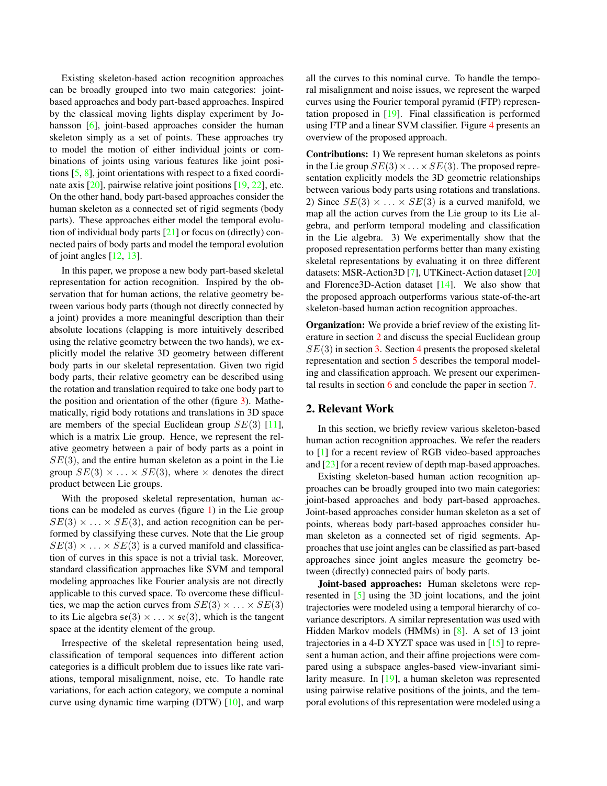<span id="page-1-1"></span>Existing skeleton-based action recognition approaches can be broadly grouped into two main categories: jointbased approaches and body part-based approaches. Inspired by the classical moving lights display experiment by Jo-hansson [\[6\]](#page-7-4), joint-based approaches consider the human skeleton simply as a set of points. These approaches try to model the motion of either individual joints or combinations of joints using various features like joint positions [\[5,](#page-7-5) [8\]](#page-7-6), joint orientations with respect to a fixed coordinate axis [\[20\]](#page-7-7), pairwise relative joint positions [\[19,](#page-7-8) [22\]](#page-7-9), etc. On the other hand, body part-based approaches consider the human skeleton as a connected set of rigid segments (body parts). These approaches either model the temporal evolution of individual body parts [\[21\]](#page-7-10) or focus on (directly) connected pairs of body parts and model the temporal evolution of joint angles [\[12,](#page-7-11) [13\]](#page-7-12).

In this paper, we propose a new body part-based skeletal representation for action recognition. Inspired by the observation that for human actions, the relative geometry between various body parts (though not directly connected by a joint) provides a more meaningful description than their absolute locations (clapping is more intuitively described using the relative geometry between the two hands), we explicitly model the relative 3D geometry between different body parts in our skeletal representation. Given two rigid body parts, their relative geometry can be described using the rotation and translation required to take one body part to the position and orientation of the other (figure [3\)](#page-3-0). Mathematically, rigid body rotations and translations in 3D space are members of the special Euclidean group  $SE(3)$  [\[11\]](#page-7-13), which is a matrix Lie group. Hence, we represent the relative geometry between a pair of body parts as a point in  $SE(3)$ , and the entire human skeleton as a point in the Lie group  $SE(3) \times \ldots \times SE(3)$ , where  $\times$  denotes the direct product between Lie groups.

With the proposed skeletal representation, human actions can be modeled as curves (figure [1\)](#page-0-0) in the Lie group  $SE(3) \times \ldots \times SE(3)$ , and action recognition can be performed by classifying these curves. Note that the Lie group  $SE(3) \times \ldots \times SE(3)$  is a curved manifold and classification of curves in this space is not a trivial task. Moreover, standard classification approaches like SVM and temporal modeling approaches like Fourier analysis are not directly applicable to this curved space. To overcome these difficulties, we map the action curves from  $SE(3) \times ... \times SE(3)$ to its Lie algebra  $\mathfrak{se}(3) \times \ldots \times \mathfrak{se}(3)$ , which is the tangent space at the identity element of the group.

Irrespective of the skeletal representation being used, classification of temporal sequences into different action categories is a difficult problem due to issues like rate variations, temporal misalignment, noise, etc. To handle rate variations, for each action category, we compute a nominal curve using dynamic time warping (DTW) [\[10\]](#page-7-14), and warp all the curves to this nominal curve. To handle the temporal misalignment and noise issues, we represent the warped curves using the Fourier temporal pyramid (FTP) representation proposed in [\[19\]](#page-7-8). Final classification is performed using FTP and a linear SVM classifier. Figure [4](#page-5-0) presents an overview of the proposed approach.

Contributions: 1) We represent human skeletons as points in the Lie group  $SE(3) \times \ldots \times SE(3)$ . The proposed representation explicitly models the 3D geometric relationships between various body parts using rotations and translations. 2) Since  $SE(3) \times \ldots \times SE(3)$  is a curved manifold, we map all the action curves from the Lie group to its Lie algebra, and perform temporal modeling and classification in the Lie algebra. 3) We experimentally show that the proposed representation performs better than many existing skeletal representations by evaluating it on three different datasets: MSR-Action3D [\[7\]](#page-7-15), UTKinect-Action dataset [\[20\]](#page-7-7) and Florence3D-Action dataset [\[14\]](#page-7-16). We also show that the proposed approach outperforms various state-of-the-art skeleton-based human action recognition approaches.

**Organization:** We provide a brief review of the existing literature in section [2](#page-1-0) and discuss the special Euclidean group  $SE(3)$  in section [3.](#page-2-0) Section [4](#page-3-1) presents the proposed skeletal representation and section [5](#page-4-0) describes the temporal modeling and classification approach. We present our experimental results in section [6](#page-4-1) and conclude the paper in section [7.](#page-6-0)

## <span id="page-1-0"></span>2. Relevant Work

In this section, we briefly review various skeleton-based human action recognition approaches. We refer the readers to [\[1\]](#page-7-1) for a recent review of RGB video-based approaches and [\[23\]](#page-7-17) for a recent review of depth map-based approaches.

Existing skeleton-based human action recognition approaches can be broadly grouped into two main categories: joint-based approaches and body part-based approaches. Joint-based approaches consider human skeleton as a set of points, whereas body part-based approaches consider human skeleton as a connected set of rigid segments. Approaches that use joint angles can be classified as part-based approaches since joint angles measure the geometry between (directly) connected pairs of body parts.

Joint-based approaches: Human skeletons were represented in [\[5\]](#page-7-5) using the 3D joint locations, and the joint trajectories were modeled using a temporal hierarchy of covariance descriptors. A similar representation was used with Hidden Markov models (HMMs) in [\[8\]](#page-7-6). A set of 13 joint trajectories in a 4-D XYZT space was used in [\[15\]](#page-7-18) to represent a human action, and their affine projections were compared using a subspace angles-based view-invariant similarity measure. In [\[19\]](#page-7-8), a human skeleton was represented using pairwise relative positions of the joints, and the temporal evolutions of this representation were modeled using a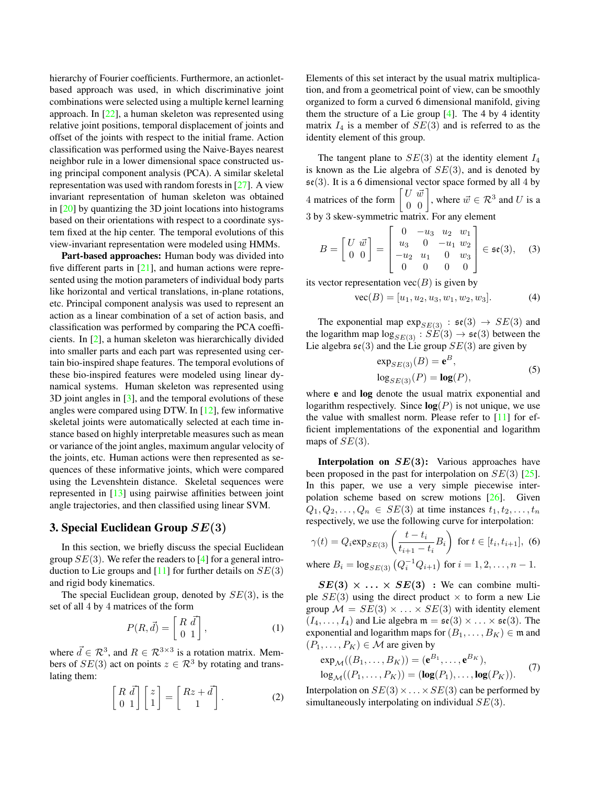<span id="page-2-1"></span>hierarchy of Fourier coefficients. Furthermore, an action letbased approach was used, in which discriminative joint combinations were selected using a multiple kernel learning approach. In [\[22\]](#page-7-9), a human skeleton was represented using relative joint positions, temporal displacement of joints and offset of the joints with respect to the initial frame. Action classification was performed using the Naive-Bayes nearest neighbor rule in a lower dimensional space constructed using principal component analysis (PCA). A similar skeletal representation was used with random forests in [\[27\]](#page-7-19). A view invariant representation of human skeleton was obtained in [\[20\]](#page-7-7) by quantizing the 3D joint locations into histograms based on their orientations with respect to a coordinate system fixed at the hip center. The temporal evolutions of this view-invariant representation were modeled using HMMs.

Part-based approaches: Human body was divided into five different parts in  $[21]$ , and human actions were represented using the motion parameters of individual body parts like horizontal and vertical translations, in-plane rotations, etc. Principal component analysis was used to represent an action as a linear combination of a set of action basis, and classification was performed by comparing the PCA coefficients. In [\[2\]](#page-7-20), a human skeleton was hierarchically divided into smaller parts and each part was represented using certain bio-inspired shape features. The temporal evolutions of these bio-inspired features were modeled using linear dynamical systems. Human skeleton was represented using 3D joint angles in [\[3\]](#page-7-21), and the temporal evolutions of these angles were compared using DTW. In [\[12\]](#page-7-11), few informative skeletal joints were automatically selected at each time instance based on highly interpretable measures such as mean or variance of the joint angles, maximum angular velocity of the joints, etc. Human actions were then represented as sequences of these informative joints, which were compared using the Levenshtein distance. Skeletal sequences were represented in [\[13\]](#page-7-12) using pairwise affinities between joint angle trajectories, and then classified using linear SVM.

## <span id="page-2-0"></span>3. Special Euclidean Group  $SE(3)$

In this section, we briefly discuss the special Euclidean group  $SE(3)$ . We refer the readers to [\[4\]](#page-7-22) for a general introduction to Lie groups and  $[11]$  for further details on  $SE(3)$ and rigid body kinematics.

The special Euclidean group, denoted by  $SE(3)$ , is the set of all 4 by 4 matrices of the form

$$
P(R, \vec{d}) = \begin{bmatrix} R & \vec{d} \\ 0 & 1 \end{bmatrix},
$$
 (1)

where  $\vec{d} \in \mathcal{R}^3$ , and  $R \in \mathcal{R}^{3 \times 3}$  is a rotation matrix. Members of  $SE(3)$  act on points  $z \in \mathbb{R}^3$  by rotating and translating them:

$$
\begin{bmatrix} R & \vec{d} \\ 0 & 1 \end{bmatrix} \begin{bmatrix} z \\ 1 \end{bmatrix} = \begin{bmatrix} Rz + \vec{d} \\ 1 \end{bmatrix} . \tag{2}
$$

Elements of this set interact by the usual matrix multiplication, and from a geometrical point of view, can be smoothly organized to form a curved 6 dimensional manifold, giving them the structure of a Lie group  $[4]$ . The 4 by 4 identity matrix  $I_4$  is a member of  $SE(3)$  and is referred to as the identity element of this group.

The tangent plane to  $SE(3)$  at the identity element  $I_4$ is known as the Lie algebra of  $SE(3)$ , and is denoted by  $\mathfrak{se}(3)$ . It is a 6 dimensional vector space formed by all 4 by 4 matrices of the form  $\begin{bmatrix} U & \vec{w} \\ 0 & 0 \end{bmatrix}$ , where  $\vec{w} \in \mathcal{R}^3$  and U is a 3 by 3 skew-symmetric matrix. For any element

$$
B = \begin{bmatrix} U & \vec{w} \\ 0 & 0 \end{bmatrix} = \begin{bmatrix} 0 & -u_3 & u_2 & w_1 \\ u_3 & 0 & -u_1 & w_2 \\ -u_2 & u_1 & 0 & w_3 \\ 0 & 0 & 0 & 0 \end{bmatrix} \in \mathfrak{se}(3), \quad (3)
$$

its vector representation  $vec(B)$  is given by

$$
\text{vec}(B) = [u_1, u_2, u_3, w_1, w_2, w_3]. \tag{4}
$$

The exponential map  $\exp_{SE(3)} : \mathfrak{se}(3) \rightarrow SE(3)$  and the logarithm map  $log_{SE(3)}$ :  $SE(3) \rightarrow \mathfrak{se}(3)$  between the Lie algebra  $\mathfrak{se}(3)$  and the Lie group  $SE(3)$  are given by

$$
\exp_{SE(3)}(B) = \mathbf{e}^{B},
$$
  
\n
$$
\log_{SE(3)}(P) = \log(P),
$$
\n(5)

where e and log denote the usual matrix exponential and logarithm respectively. Since  $log(P)$  is not unique, we use the value with smallest norm. Please refer to [\[11\]](#page-7-13) for efficient implementations of the exponential and logarithm maps of  $SE(3)$ .

**Interpolation on**  $SE(3)$ **:** Various approaches have been proposed in the past for interpolation on  $SE(3)$  [\[25\]](#page-7-23). In this paper, we use a very simple piecewise interpolation scheme based on screw motions [\[26\]](#page-7-24). Given  $Q_1, Q_2, \ldots, Q_n \in SE(3)$  at time instances  $t_1, t_2, \ldots, t_n$ respectively, we use the following curve for interpolation:

$$
\gamma(t) = Q_i \exp_{SE(3)} \left( \frac{t - t_i}{t_{i+1} - t_i} B_i \right) \text{ for } t \in [t_i, t_{i+1}], \tag{6}
$$

where 
$$
B_i = \log_{SE(3)} (Q_i^{-1} Q_{i+1})
$$
 for  $i = 1, 2, ..., n - 1$ .

 $SE(3) \times \ldots \times SE(3)$  : We can combine multiple  $SE(3)$  using the direct product  $\times$  to form a new Lie group  $\mathcal{M} = SE(3) \times \ldots \times SE(3)$  with identity element  $(I_4, \ldots, I_4)$  and Lie algebra  $\mathfrak{m} = \mathfrak{se}(3) \times \ldots \times \mathfrak{se}(3)$ . The exponential and logarithm maps for  $(B_1, \ldots, B_K) \in \mathfrak{m}$  and  $(P_1, \ldots, P_K) \in \mathcal{M}$  are given by

$$
\exp_{\mathcal{M}}((B_1,\ldots,B_K)) = (\mathbf{e}^{B_1},\ldots,\mathbf{e}^{B_K}),
$$
  
\n
$$
\log_{\mathcal{M}}((P_1,\ldots,P_K)) = (\log(P_1),\ldots,\log(P_K)).
$$
 (7)

Interpolation on  $SE(3) \times ... \times SE(3)$  can be performed by simultaneously interpolating on individual  $SE(3)$ .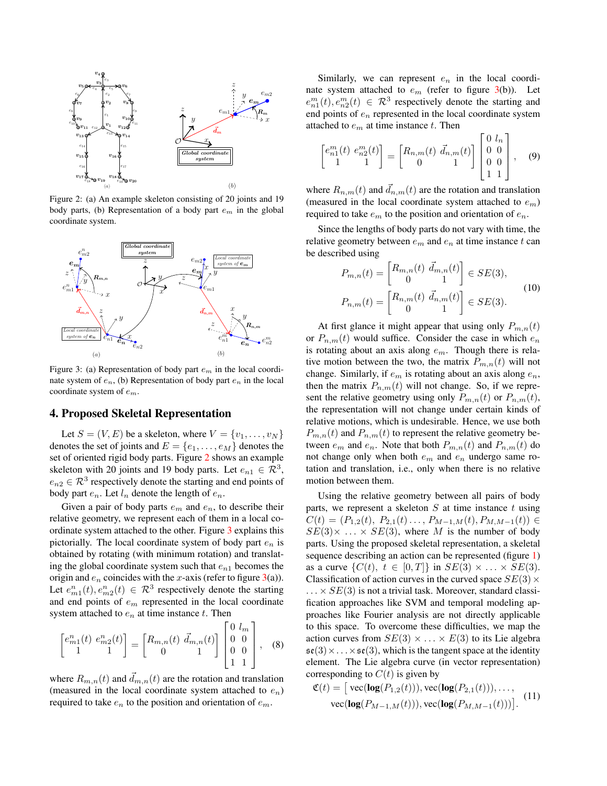<span id="page-3-2"></span>

Figure 2: (a) An example skeleton consisting of 20 joints and 19 body parts, (b) Representation of a body part  $e_m$  in the global coordinate system.

<span id="page-3-0"></span>

Figure 3: (a) Representation of body part  $e<sub>m</sub>$  in the local coordinate system of  $e_n$ , (b) Representation of body part  $e_n$  in the local coordinate system of  $e_m$ .

## <span id="page-3-1"></span>4. Proposed Skeletal Representation

Let  $S = (V, E)$  be a skeleton, where  $V = \{v_1, \ldots, v_N\}$ denotes the set of joints and  $E = \{e_1, \ldots, e_M\}$  denotes the set of oriented rigid body parts. Figure [2](#page-3-2) shows an example skeleton with 20 joints and 19 body parts. Let  $e_{n1} \in \mathcal{R}^3$ ,  $e_{n2} \in \mathcal{R}^3$  respectively denote the starting and end points of body part  $e_n$ . Let  $l_n$  denote the length of  $e_n$ .

Given a pair of body parts  $e_m$  and  $e_n$ , to describe their relative geometry, we represent each of them in a local coordinate system attached to the other. Figure [3](#page-3-0) explains this pictorially. The local coordinate system of body part  $e_n$  is obtained by rotating (with minimum rotation) and translating the global coordinate system such that  $e_{n1}$  becomes the origin and  $e_n$  coincides with the x-axis (refer to figure [3\(](#page-3-0)a)). Let  $e_{m1}^n(t), e_{m2}^n(t) \in \mathcal{R}^3$  respectively denote the starting and end points of  $e<sub>m</sub>$  represented in the local coordinate system attached to  $e_n$  at time instance t. Then

$$
\begin{bmatrix} e_{m1}^n(t) & e_{m2}^n(t) \\ 1 & 1 \end{bmatrix} = \begin{bmatrix} R_{m,n}(t) & \vec{d}_{m,n}(t) \\ 0 & 1 \end{bmatrix} \begin{bmatrix} 0 & l_m \\ 0 & 0 \\ 0 & 0 \\ 1 & 1 \end{bmatrix}, \quad (8)
$$

where  $R_{m,n}(t)$  and  $d_{m,n}(t)$  are the rotation and translation (measured in the local coordinate system attached to  $e_n$ ) required to take  $e_n$  to the position and orientation of  $e_m$ .

Similarly, we can represent  $e_n$  in the local coordinate system attached to  $e_m$  (refer to figure [3\(](#page-3-0)b)). Let  $e_{n1}^m(t), e_{n2}^m(t) \in \mathcal{R}^3$  respectively denote the starting and end points of  $e_n$  represented in the local coordinate system attached to  $e_m$  at time instance t. Then

$$
\begin{bmatrix} e_{n1}^m(t) & e_{n2}^m(t) \\ 1 & 1 \end{bmatrix} = \begin{bmatrix} R_{n,m}(t) & \vec{d}_{n,m}(t) \\ 0 & 1 \end{bmatrix} \begin{bmatrix} 0 & l_n \\ 0 & 0 \\ 0 & 0 \\ 1 & 1 \end{bmatrix}, \quad (9)
$$

where  $R_{n,m}(t)$  and  $\vec{d}_{n,m}(t)$  are the rotation and translation (measured in the local coordinate system attached to  $e_m$ ) required to take  $e_m$  to the position and orientation of  $e_n$ .

Since the lengths of body parts do not vary with time, the relative geometry between  $e_m$  and  $e_n$  at time instance t can be described using

$$
P_{m,n}(t) = \begin{bmatrix} R_{m,n}(t) & \vec{d}_{m,n}(t) \\ 0 & 1 \end{bmatrix} \in SE(3),
$$
\n
$$
P_{n,m}(t) = \begin{bmatrix} R_{n,m}(t) & \vec{d}_{n,m}(t) \\ 0 & 1 \end{bmatrix} \in SE(3).
$$
\n(10)

At first glance it might appear that using only  $P_{m,n}(t)$ or  $P_{n,m}(t)$  would suffice. Consider the case in which  $e_n$ is rotating about an axis along  $e_m$ . Though there is relative motion between the two, the matrix  $P_{m,n}(t)$  will not change. Similarly, if  $e_m$  is rotating about an axis along  $e_n$ , then the matrix  $P_{n,m}(t)$  will not change. So, if we represent the relative geometry using only  $P_{m,n}(t)$  or  $P_{n,m}(t)$ , the representation will not change under certain kinds of relative motions, which is undesirable. Hence, we use both  $P_{m,n}(t)$  and  $P_{n,m}(t)$  to represent the relative geometry between  $e_m$  and  $e_n$ . Note that both  $P_{m,n}(t)$  and  $P_{n,m}(t)$  do not change only when both  $e_m$  and  $e_n$  undergo same rotation and translation, i.e., only when there is no relative motion between them.

Using the relative geometry between all pairs of body parts, we represent a skeleton  $S$  at time instance  $t$  using  $C(t) = (P_{1,2}(t), P_{2,1}(t), \ldots, P_{M-1,M}(t), P_{M,M-1}(t)) \in$  $SE(3) \times \ldots \times SE(3)$ , where M is the number of body parts. Using the proposed skeletal representation, a skeletal sequence describing an action can be represented (figure [1\)](#page-0-0) as a curve  $\{C(t), t \in [0,T]\}\$ in  $SE(3) \times \ldots \times SE(3)$ . Classification of action curves in the curved space  $SE(3) \times$  $\ldots \times SE(3)$  is not a trivial task. Moreover, standard classification approaches like SVM and temporal modeling approaches like Fourier analysis are not directly applicable to this space. To overcome these difficulties, we map the action curves from  $SE(3) \times \ldots \times E(3)$  to its Lie algebra  $\mathfrak{se}(3) \times \ldots \times \mathfrak{se}(3)$ , which is the tangent space at the identity element. The Lie algebra curve (in vector representation) corresponding to  $C(t)$  is given by

$$
\mathfrak{C}(t) = [\text{vec}(\log(P_{1,2}(t))), \text{vec}(\log(P_{2,1}(t))), \dots, \text{vec}(\log(P_{M-1,M}(t))), \text{vec}(\log(P_{M,M-1}(t)))].
$$
\n(11)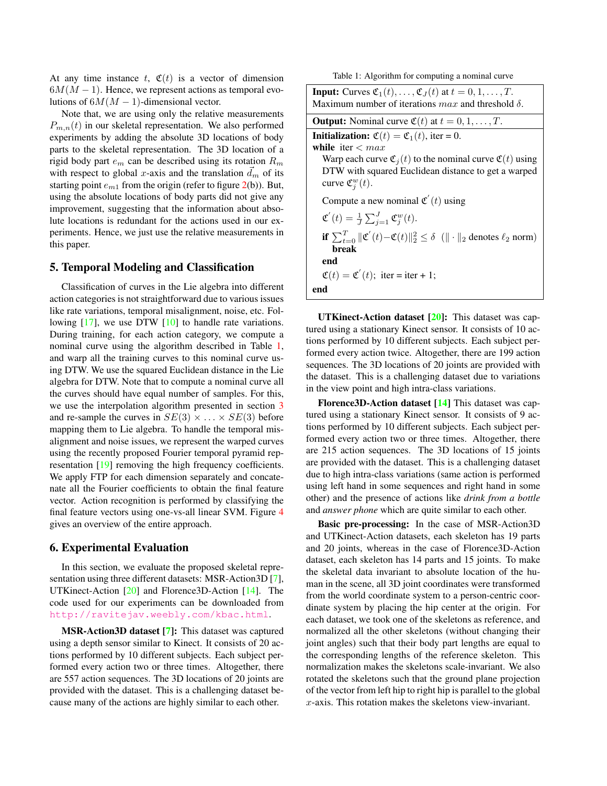<span id="page-4-3"></span>At any time instance t,  $\mathfrak{C}(t)$  is a vector of dimension  $6M(M-1)$ . Hence, we represent actions as temporal evolutions of  $6M(M-1)$ -dimensional vector.

Note that, we are using only the relative measurements  $P_{m,n}(t)$  in our skeletal representation. We also performed experiments by adding the absolute 3D locations of body parts to the skeletal representation. The 3D location of a rigid body part  $e_m$  can be described using its rotation  $R_m$ with respect to global x-axis and the translation  $d_m$  of its starting point  $e_{m1}$  from the origin (refer to figure [2\(](#page-3-2)b)). But, using the absolute locations of body parts did not give any improvement, suggesting that the information about absolute locations is redundant for the actions used in our experiments. Hence, we just use the relative measurements in this paper.

## <span id="page-4-0"></span>5. Temporal Modeling and Classification

Classification of curves in the Lie algebra into different action categories is not straightforward due to various issues like rate variations, temporal misalignment, noise, etc. Fol-lowing [\[17\]](#page-7-25), we use DTW [\[10\]](#page-7-14) to handle rate variations. During training, for each action category, we compute a nominal curve using the algorithm described in Table [1,](#page-4-2) and warp all the training curves to this nominal curve using DTW. We use the squared Euclidean distance in the Lie algebra for DTW. Note that to compute a nominal curve all the curves should have equal number of samples. For this, we use the interpolation algorithm presented in section [3](#page-2-0) and re-sample the curves in  $SE(3) \times \ldots \times SE(3)$  before mapping them to Lie algebra. To handle the temporal misalignment and noise issues, we represent the warped curves using the recently proposed Fourier temporal pyramid representation [\[19\]](#page-7-8) removing the high frequency coefficients. We apply FTP for each dimension separately and concatenate all the Fourier coefficients to obtain the final feature vector. Action recognition is performed by classifying the final feature vectors using one-vs-all linear SVM. Figure [4](#page-5-0) gives an overview of the entire approach.

#### <span id="page-4-1"></span>6. Experimental Evaluation

In this section, we evaluate the proposed skeletal representation using three different datasets: MSR-Action3D [\[7\]](#page-7-15), UTKinect-Action [\[20\]](#page-7-7) and Florence3D-Action [\[14\]](#page-7-16). The code used for our experiments can be downloaded from <http://ravitejav.weebly.com/kbac.html>.

MSR-Action3D dataset [\[7\]](#page-7-15): This dataset was captured using a depth sensor similar to Kinect. It consists of 20 actions performed by 10 different subjects. Each subject performed every action two or three times. Altogether, there are 557 action sequences. The 3D locations of 20 joints are provided with the dataset. This is a challenging dataset because many of the actions are highly similar to each other.

Table 1: Algorithm for computing a nominal curve

<span id="page-4-2"></span>

| <b>Input:</b> Curves $\mathfrak{C}_1(t), \ldots, \mathfrak{C}_J(t)$ at $t = 0, 1, \ldots, T$ .<br>Maximum number of iterations $max$ and threshold $\delta$ .                                                                                                              |
|----------------------------------------------------------------------------------------------------------------------------------------------------------------------------------------------------------------------------------------------------------------------------|
| <b>Output:</b> Nominal curve $\mathfrak{C}(t)$ at $t = 0, 1, \ldots, T$ .                                                                                                                                                                                                  |
| <b>Initialization:</b> $\mathfrak{C}(t) = \mathfrak{C}_1(t)$ , iter = 0.<br>while iter $< max$<br>Warp each curve $\mathfrak{C}_j(t)$ to the nominal curve $\mathfrak{C}(t)$ using<br>DTW with squared Euclidean distance to get a warped<br>curve $\mathfrak{C}_i^w(t)$ . |
| Compute a new nominal $\mathfrak{C}'(t)$ using                                                                                                                                                                                                                             |
| $\mathfrak{C}'(t) = \frac{1}{I} \sum_{i=1}^{J} \mathfrak{C}_i^w(t).$                                                                                                                                                                                                       |
| if $\sum_{t=0}^{T}   \mathfrak{C}'(t)-\mathfrak{C}(t)  _2^2 \leq \delta$ ( $  \cdot  _2$ denotes $\ell_2$ norm)<br>break                                                                                                                                                   |
| end                                                                                                                                                                                                                                                                        |
| $\mathfrak{C}(t) = \mathfrak{C}'(t)$ ; iter = iter + 1;                                                                                                                                                                                                                    |
| end                                                                                                                                                                                                                                                                        |

**UTKinect-Action dataset**  $[20]$ **:** This dataset was captured using a stationary Kinect sensor. It consists of 10 actions performed by 10 different subjects. Each subject performed every action twice. Altogether, there are 199 action sequences. The 3D locations of 20 joints are provided with the dataset. This is a challenging dataset due to variations in the view point and high intra-class variations.

Florence3D-Action dataset  $[14]$  This dataset was captured using a stationary Kinect sensor. It consists of 9 actions performed by 10 different subjects. Each subject performed every action two or three times. Altogether, there are 215 action sequences. The 3D locations of 15 joints are provided with the dataset. This is a challenging dataset due to high intra-class variations (same action is performed using left hand in some sequences and right hand in some other) and the presence of actions like *drink from a bottle* and *answer phone* which are quite similar to each other.

Basic pre-processing: In the case of MSR-Action3D and UTKinect-Action datasets, each skeleton has 19 parts and 20 joints, whereas in the case of Florence3D-Action dataset, each skeleton has 14 parts and 15 joints. To make the skeletal data invariant to absolute location of the human in the scene, all 3D joint coordinates were transformed from the world coordinate system to a person-centric coordinate system by placing the hip center at the origin. For each dataset, we took one of the skeletons as reference, and normalized all the other skeletons (without changing their joint angles) such that their body part lengths are equal to the corresponding lengths of the reference skeleton. This normalization makes the skeletons scale-invariant. We also rotated the skeletons such that the ground plane projection of the vector from left hip to right hip is parallel to the global  $x$ -axis. This rotation makes the skeletons view-invariant.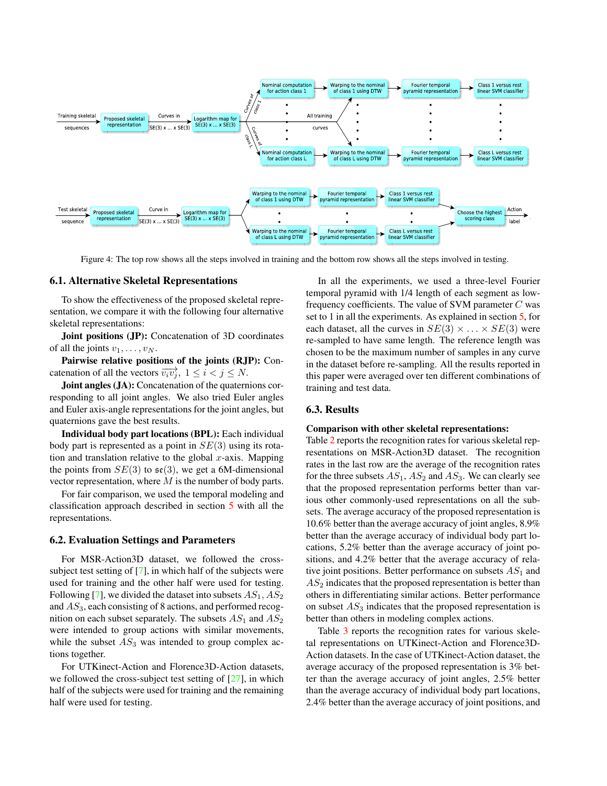<span id="page-5-1"></span><span id="page-5-0"></span>

Figure 4: The top row shows all the steps involved in training and the bottom row shows all the steps involved in testing.

#### 6.1. Alternative Skeletal Representations

To show the effectiveness of the proposed skeletal representation, we compare it with the following four alternative skeletal representations:

Joint positions (JP): Concatenation of 3D coordinates of all the joints  $v_1, \ldots, v_N$ .

Pairwise relative positions of the joints (RJP): Concatenation of all the vectors  $\overrightarrow{v_i v_j}$ ,  $1 \le i < j \le N$ .

Joint angles (JA): Concatenation of the quaternions corresponding to all joint angles. We also tried Euler angles and Euler axis-angle representations for the joint angles, but quaternions gave the best results.

Individual body part locations (BPL): Each individual body part is represented as a point in  $SE(3)$  using its rotation and translation relative to the global  $x$ -axis. Mapping the points from  $SE(3)$  to  $\mathfrak{se}(3)$ , we get a 6M-dimensional vector representation, where  $M$  is the number of body parts.

For fair comparison, we used the temporal modeling and classification approach described in section [5](#page-4-0) with all the representations.

## 6.2. Evaluation Settings and Parameters

For MSR-Action3D dataset, we followed the crosssubject test setting of [\[7\]](#page-7-15), in which half of the subjects were used for training and the other half were used for testing. Following [\[7\]](#page-7-15), we divided the dataset into subsets  $AS_1$ ,  $AS_2$ and  $AS_3$ , each consisting of 8 actions, and performed recognition on each subset separately. The subsets  $AS_1$  and  $AS_2$ were intended to group actions with similar movements, while the subset  $AS_3$  was intended to group complex actions together.

For UTKinect-Action and Florence3D-Action datasets, we followed the cross-subject test setting of [\[27\]](#page-7-19), in which half of the subjects were used for training and the remaining half were used for testing.

In all the experiments, we used a three-level Fourier temporal pyramid with 1/4 length of each segment as lowfrequency coefficients. The value of SVM parameter  $C$  was set to 1 in all the experiments. As explained in section [5,](#page-4-0) for each dataset, all the curves in  $SE(3) \times ... \times SE(3)$  were re-sampled to have same length. The reference length was chosen to be the maximum number of samples in any curve in the dataset before re-sampling. All the results reported in this paper were averaged over ten different combinations of training and test data.

#### 6.3. Results

#### Comparison with other skeletal representations:

Table [2](#page-6-1) reports the recognition rates for various skeletal representations on MSR-Action3D dataset. The recognition rates in the last row are the average of the recognition rates for the three subsets  $AS_1$ ,  $AS_2$  and  $AS_3$ . We can clearly see that the proposed representation performs better than various other commonly-used representations on all the subsets. The average accuracy of the proposed representation is 10.6% better than the average accuracy of joint angles, 8.9% better than the average accuracy of individual body part locations, 5.2% better than the average accuracy of joint positions, and 4.2% better that the average accuracy of relative joint positions. Better performance on subsets  $AS_1$  and  $AS<sub>2</sub>$  indicates that the proposed representation is better than others in differentiating similar actions. Better performance on subset  $AS<sub>3</sub>$  indicates that the proposed representation is better than others in modeling complex actions.

Table [3](#page-6-2) reports the recognition rates for various skeletal representations on UTKinect-Action and Florence3D-Action datasets. In the case of UTKinect-Action dataset, the average accuracy of the proposed representation is 3% better than the average accuracy of joint angles, 2.5% better than the average accuracy of individual body part locations, 2.4% better than the average accuracy of joint positions, and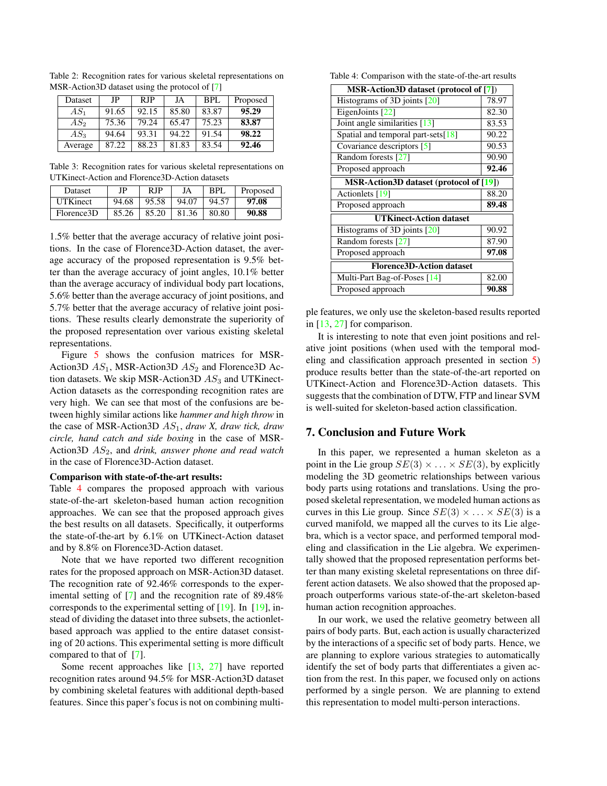| Dataset | JP.   | <b>RIP</b> | JA    | BPL   | Proposed |
|---------|-------|------------|-------|-------|----------|
| $AS_1$  | 91.65 | 92.15      | 85.80 | 83.87 | 95.29    |
| $AS_2$  | 75.36 | 79.24      | 65.47 | 75.23 | 83.87    |
| $AS_3$  | 94.64 | 93.31      | 94.22 | 91.54 | 98.22    |
| Average | 87.22 | 88.23      | 81.83 | 83.54 | 92.46    |

<span id="page-6-4"></span><span id="page-6-1"></span>Table 2: Recognition rates for various skeletal representations on MSR-Action3D dataset using the protocol of [\[7\]](#page-7-15)

<span id="page-6-2"></span>Table 3: Recognition rates for various skeletal representations on UTKinect-Action and Florence3D-Action datasets

| Dataset         | JP    | RJP   | JA    | BPI.  | Proposed |
|-----------------|-------|-------|-------|-------|----------|
| <b>UTKinect</b> | 94.68 | 95.58 | 94.07 | 94.57 | 97.08    |
| Florence3D      | 85.26 | 85.20 | 81.36 | 80.80 | 90.88    |

1.5% better that the average accuracy of relative joint positions. In the case of Florence3D-Action dataset, the average accuracy of the proposed representation is 9.5% better than the average accuracy of joint angles, 10.1% better than the average accuracy of individual body part locations, 5.6% better than the average accuracy of joint positions, and 5.7% better that the average accuracy of relative joint positions. These results clearly demonstrate the superiority of the proposed representation over various existing skeletal representations.

Figure [5](#page-7-26) shows the confusion matrices for MSR-Action3D  $AS_1$ , MSR-Action3D  $AS_2$  and Florence3D Action datasets. We skip MSR-Action3D  $AS<sub>3</sub>$  and UTKinect-Action datasets as the corresponding recognition rates are very high. We can see that most of the confusions are between highly similar actions like *hammer and high throw* in the case of MSR-Action3D AS1, *draw X, draw tick, draw circle, hand catch and side boxing* in the case of MSR-Action<sub>3</sub>D  $AS_2$ , and *drink*, answer phone and read watch in the case of Florence3D-Action dataset.

#### Comparison with state-of-the-art results:

Table [4](#page-6-3) compares the proposed approach with various state-of-the-art skeleton-based human action recognition approaches. We can see that the proposed approach gives the best results on all datasets. Specifically, it outperforms the state-of-the-art by 6.1% on UTKinect-Action dataset and by 8.8% on Florence3D-Action dataset.

Note that we have reported two different recognition rates for the proposed approach on MSR-Action3D dataset. The recognition rate of 92.46% corresponds to the experimental setting of [\[7\]](#page-7-15) and the recognition rate of 89.48% corresponds to the experimental setting of  $[19]$ . In  $[19]$ , instead of dividing the dataset into three subsets, the actionletbased approach was applied to the entire dataset consisting of 20 actions. This experimental setting is more difficult compared to that of [\[7\]](#page-7-15).

Some recent approaches like [\[13,](#page-7-12) [27\]](#page-7-19) have reported recognition rates around 94.5% for MSR-Action3D dataset by combining skeletal features with additional depth-based features. Since this paper's focus is not on combining multi-

<span id="page-6-3"></span>Table 4: Comparison with the state-of-the-art results

| MSR-Action3D dataset (protocol of [7])  |       |  |  |  |
|-----------------------------------------|-------|--|--|--|
| Histograms of 3D joints $[20]$          | 78.97 |  |  |  |
| EigenJoints [22]                        | 82.30 |  |  |  |
| Joint angle similarities [13]           | 83.53 |  |  |  |
| Spatial and temporal part-sets[18]      | 90.22 |  |  |  |
| Covariance descriptors [5]              | 90.53 |  |  |  |
| Random forests [27]                     | 90.90 |  |  |  |
| Proposed approach                       | 92.46 |  |  |  |
| MSR-Action3D dataset (protocol of [19]) |       |  |  |  |
| Actionlets [19]                         | 88.20 |  |  |  |
| Proposed approach                       | 89.48 |  |  |  |
| <b>UTKinect-Action dataset</b>          |       |  |  |  |
| Histograms of 3D joints $[20]$          | 90.92 |  |  |  |
| Random forests [27]                     | 87.90 |  |  |  |
| Proposed approach                       | 97.08 |  |  |  |
| <b>Florence3D-Action dataset</b>        |       |  |  |  |
| Multi-Part Bag-of-Poses [14]            | 82.00 |  |  |  |
| Proposed approach                       | 90.88 |  |  |  |

ple features, we only use the skeleton-based results reported in [\[13,](#page-7-12) [27\]](#page-7-19) for comparison.

It is interesting to note that even joint positions and relative joint positions (when used with the temporal modeling and classification approach presented in section [5\)](#page-4-0) produce results better than the state-of-the-art reported on UTKinect-Action and Florence3D-Action datasets. This suggests that the combination of DTW, FTP and linear SVM is well-suited for skeleton-based action classification.

### <span id="page-6-0"></span>7. Conclusion and Future Work

In this paper, we represented a human skeleton as a point in the Lie group  $SE(3) \times \ldots \times SE(3)$ , by explicitly modeling the 3D geometric relationships between various body parts using rotations and translations. Using the proposed skeletal representation, we modeled human actions as curves in this Lie group. Since  $SE(3) \times ... \times SE(3)$  is a curved manifold, we mapped all the curves to its Lie algebra, which is a vector space, and performed temporal modeling and classification in the Lie algebra. We experimentally showed that the proposed representation performs better than many existing skeletal representations on three different action datasets. We also showed that the proposed approach outperforms various state-of-the-art skeleton-based human action recognition approaches.

In our work, we used the relative geometry between all pairs of body parts. But, each action is usually characterized by the interactions of a specific set of body parts. Hence, we are planning to explore various strategies to automatically identify the set of body parts that differentiates a given action from the rest. In this paper, we focused only on actions performed by a single person. We are planning to extend this representation to model multi-person interactions.